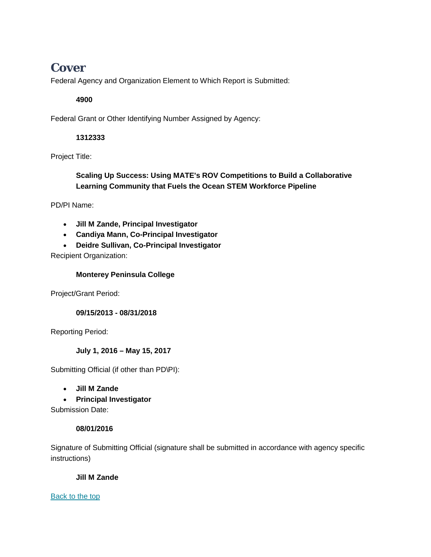# **Cover**

Federal Agency and Organization Element to Which Report is Submitted:

### **4900**

Federal Grant or Other Identifying Number Assigned by Agency:

### **1312333**

Project Title:

### **Scaling Up Success: Using MATE's ROV Competitions to Build a Collaborative Learning Community that Fuels the Ocean STEM Workforce Pipeline**

PD/PI Name:

- **Jill M Zande, Principal Investigator**
- **Candiya Mann, Co-Principal Investigator**
- **Deidre Sullivan, Co-Principal Investigator**

Recipient Organization:

#### **Monterey Peninsula College**

Project/Grant Period:

**09/15/2013 - 08/31/2018**

Reporting Period:

#### **July 1, 2016 – May 15, 2017**

Submitting Official (if other than PD\PI):

• **Jill M Zande**

• **Principal Investigator**

Submission Date:

#### **08/01/2016**

Signature of Submitting Official (signature shall be submitted in accordance with agency specific instructions)

#### **Jill M Zande**

[Back](https://reporting.research.gov/rppr-web/rppr?execution=e1s2#top) to the top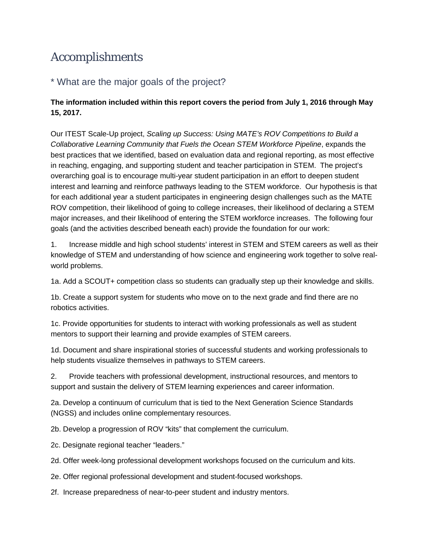# Accomplishments

# \* What are the major goals of the project?

## **The information included within this report covers the period from July 1, 2016 through May 15, 2017.**

Our ITEST Scale-Up project, *Scaling up Success: Using MATE's ROV Competitions to Build a Collaborative Learning Community that Fuels the Ocean STEM Workforce Pipeline*, expands the best practices that we identified, based on evaluation data and regional reporting, as most effective in reaching, engaging, and supporting student and teacher participation in STEM. The project's overarching goal is to encourage multi-year student participation in an effort to deepen student interest and learning and reinforce pathways leading to the STEM workforce. Our hypothesis is that for each additional year a student participates in engineering design challenges such as the MATE ROV competition, their likelihood of going to college increases, their likelihood of declaring a STEM major increases, and their likelihood of entering the STEM workforce increases. The following four goals (and the activities described beneath each) provide the foundation for our work:

1. Increase middle and high school students' interest in STEM and STEM careers as well as their knowledge of STEM and understanding of how science and engineering work together to solve realworld problems.

1a. Add a SCOUT+ competition class so students can gradually step up their knowledge and skills.

1b. Create a support system for students who move on to the next grade and find there are no robotics activities.

1c. Provide opportunities for students to interact with working professionals as well as student mentors to support their learning and provide examples of STEM careers.

1d. Document and share inspirational stories of successful students and working professionals to help students visualize themselves in pathways to STEM careers.

2. Provide teachers with professional development, instructional resources, and mentors to support and sustain the delivery of STEM learning experiences and career information.

2a. Develop a continuum of curriculum that is tied to the Next Generation Science Standards (NGSS) and includes online complementary resources.

2b. Develop a progression of ROV "kits" that complement the curriculum.

2c. Designate regional teacher "leaders."

2d. Offer week-long professional development workshops focused on the curriculum and kits.

2e. Offer regional professional development and student-focused workshops.

2f. Increase preparedness of near-to-peer student and industry mentors.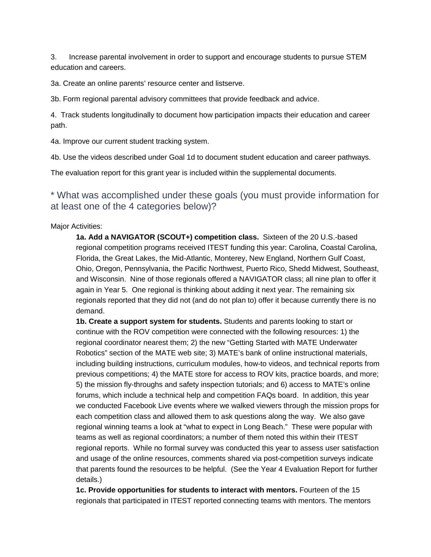3. Increase parental involvement in order to support and encourage students to pursue STEM education and careers.

3a. Create an online parents' resource center and listserve.

3b. Form regional parental advisory committees that provide feedback and advice.

4. Track students longitudinally to document how participation impacts their education and career path.

4a. Improve our current student tracking system.

4b. Use the videos described under Goal 1d to document student education and career pathways.

The evaluation report for this grant year is included within the supplemental documents.

\* What was accomplished under these goals (you must provide information for at least one of the 4 categories below)?

#### Major Activities:

**1a. Add a NAVIGATOR (SCOUT+) competition class.** Sixteen of the 20 U.S.-based regional competition programs received ITEST funding this year: Carolina, Coastal Carolina, Florida, the Great Lakes, the Mid-Atlantic, Monterey, New England, Northern Gulf Coast, Ohio, Oregon, Pennsylvania, the Pacific Northwest, Puerto Rico, Shedd Midwest, Southeast, and Wisconsin. Nine of those regionals offered a NAVIGATOR class; all nine plan to offer it again in Year 5. One regional is thinking about adding it next year. The remaining six regionals reported that they did not (and do not plan to) offer it because currently there is no demand.

**1b. Create a support system for students.** Students and parents looking to start or continue with the ROV competition were connected with the following resources: 1) the regional coordinator nearest them; 2) the new "Getting Started with MATE Underwater Robotics" section of the MATE web site; 3) MATE's bank of online instructional materials, including building instructions, curriculum modules, how-to videos, and technical reports from previous competitions; 4) the MATE store for access to ROV kits, practice boards, and more; 5) the mission fly-throughs and safety inspection tutorials; and 6) access to MATE's online forums, which include a technical help and competition FAQs board. In addition, this year we conducted Facebook Live events where we walked viewers through the mission props for each competition class and allowed them to ask questions along the way. We also gave regional winning teams a look at "what to expect in Long Beach." These were popular with teams as well as regional coordinators; a number of them noted this within their ITEST regional reports. While no formal survey was conducted this year to assess user satisfaction and usage of the online resources, comments shared via post-competition surveys indicate that parents found the resources to be helpful. (See the Year 4 Evaluation Report for further details.)

**1c. Provide opportunities for students to interact with mentors.** Fourteen of the 15 regionals that participated in ITEST reported connecting teams with mentors. The mentors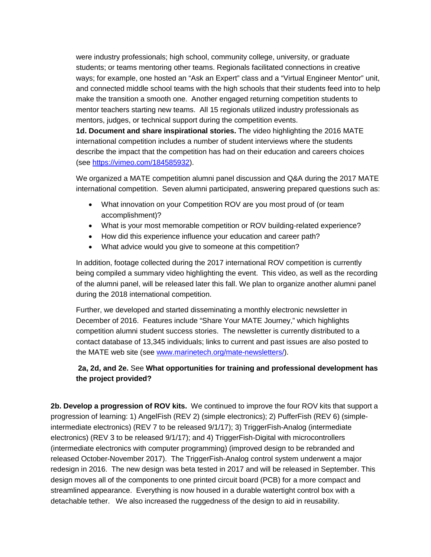were industry professionals; high school, community college, university, or graduate students; or teams mentoring other teams. Regionals facilitated connections in creative ways; for example, one hosted an "Ask an Expert" class and a "Virtual Engineer Mentor" unit, and connected middle school teams with the high schools that their students feed into to help make the transition a smooth one. Another engaged returning competition students to mentor teachers starting new teams. All 15 regionals utilized industry professionals as mentors, judges, or technical support during the competition events.

**1d. Document and share inspirational stories.** The video highlighting the 2016 MATE international competition includes a number of student interviews where the students describe the impact that the competition has had on their education and careers choices (see [https://vimeo.com/184585932\)](https://vimeo.com/184585932).

We organized a MATE competition alumni panel discussion and Q&A during the 2017 MATE international competition. Seven alumni participated, answering prepared questions such as:

- What innovation on your Competition ROV are you most proud of (or team accomplishment)?
- What is your most memorable competition or ROV building-related experience?
- How did this experience influence your education and career path?
- What advice would you give to someone at this competition?

In addition, footage collected during the 2017 international ROV competition is currently being compiled a summary video highlighting the event. This video, as well as the recording of the alumni panel, will be released later this fall. We plan to organize another alumni panel during the 2018 international competition.

Further, we developed and started disseminating a monthly electronic newsletter in December of 2016. Features include "Share Your MATE Journey," which highlights competition alumni student success stories. The newsletter is currently distributed to a contact database of 13,345 individuals; links to current and past issues are also posted to the MATE web site (see [www.marinetech.org/mate-newsletters/\)](http://www.marinetech.org/mate-newsletters/).

### **2a, 2d, and 2e.** See **What opportunities for training and professional development has the project provided?**

**2b. Develop a progression of ROV kits.** We continued to improve the four ROV kits that support a progression of learning: 1) AngelFish (REV 2) (simple electronics); 2) PufferFish (REV 6) (simpleintermediate electronics) (REV 7 to be released 9/1/17); 3) TriggerFish-Analog (intermediate electronics) (REV 3 to be released 9/1/17); and 4) TriggerFish-Digital with microcontrollers (intermediate electronics with computer programming) (improved design to be rebranded and released October-November 2017). The TriggerFish-Analog control system underwent a major redesign in 2016. The new design was beta tested in 2017 and will be released in September. This design moves all of the components to one printed circuit board (PCB) for a more compact and streamlined appearance. Everything is now housed in a durable watertight control box with a detachable tether. We also increased the ruggedness of the design to aid in reusability.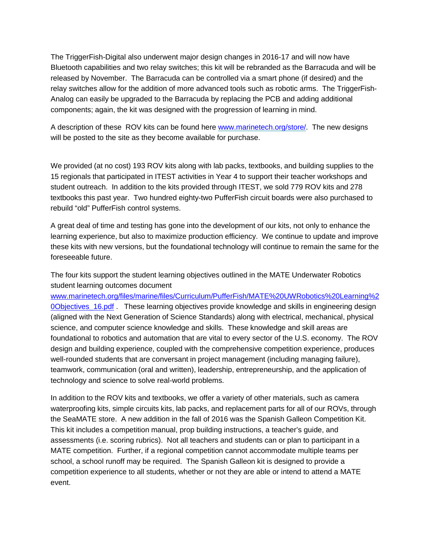The TriggerFish-Digital also underwent major design changes in 2016-17 and will now have Bluetooth capabilities and two relay switches; this kit will be rebranded as the Barracuda and will be released by November. The Barracuda can be controlled via a smart phone (if desired) and the relay switches allow for the addition of more advanced tools such as robotic arms. The TriggerFish-Analog can easily be upgraded to the Barracuda by replacing the PCB and adding additional components; again, the kit was designed with the progression of learning in mind.

A description of these ROV kits can be found here [www.marinetech.org/store/.](file://KNIGHTHAWK/ReDirFldr/jzande/My%20Documents/ITEST%20-%20part%20II/Evaluation/Year%204%20reporting/REPORT/www.marinetech.org/store/) The new designs will be posted to the site as they become available for purchase.

We provided (at no cost) 193 ROV kits along with lab packs, textbooks, and building supplies to the 15 regionals that participated in ITEST activities in Year 4 to support their teacher workshops and student outreach. In addition to the kits provided through ITEST, we sold 779 ROV kits and 278 textbooks this past year. Two hundred eighty-two PufferFish circuit boards were also purchased to rebuild "old" PufferFish control systems.

A great deal of time and testing has gone into the development of our kits, not only to enhance the learning experience, but also to maximize production efficiency. We continue to update and improve these kits with new versions, but the foundational technology will continue to remain the same for the foreseeable future.

The four kits support the student learning objectives outlined in the MATE Underwater Robotics student learning outcomes document

[www.marinetech.org/files/marine/files/Curriculum/PufferFish/MATE%20UWRobotics%20Learning%2](http://www.marinetech.org/files/marine/files/Curriculum/PufferFish/MATE%20UWRobotics%20Learning%20Objectives_16.pdf) 0Objectives 16.pdf . These learning objectives provide knowledge and skills in engineering design (aligned with the Next Generation of Science Standards) along with electrical, mechanical, physical science, and computer science knowledge and skills. These knowledge and skill areas are foundational to robotics and automation that are vital to every sector of the U.S. economy. The ROV design and building experience, coupled with the comprehensive competition experience, produces well-rounded students that are conversant in project management (including managing failure), teamwork, communication (oral and written), leadership, entrepreneurship, and the application of technology and science to solve real-world problems.

In addition to the ROV kits and textbooks, we offer a variety of other materials, such as camera waterproofing kits, simple circuits kits, lab packs, and replacement parts for all of our ROVs, through the SeaMATE store. A new addition in the fall of 2016 was the Spanish Galleon Competition Kit. This kit includes a competition manual, prop building instructions, a teacher's guide, and assessments (i.e. scoring rubrics). Not all teachers and students can or plan to participant in a MATE competition. Further, if a regional competition cannot accommodate multiple teams per school, a school runoff may be required. The Spanish Galleon kit is designed to provide a competition experience to all students, whether or not they are able or intend to attend a MATE event.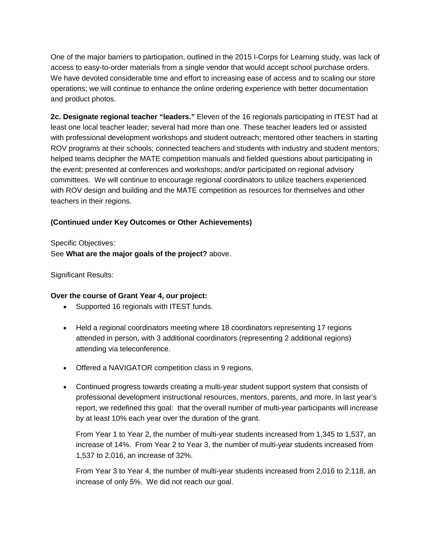One of the major barriers to participation, outlined in the 2015 I-Corps for Learning study, was lack of access to easy-to-order materials from a single vendor that would accept school purchase orders. We have devoted considerable time and effort to increasing ease of access and to scaling our store operations; we will continue to enhance the online ordering experience with better documentation and product photos.

**2c. Designate regional teacher "leaders."** Eleven of the 16 regionals participating in ITEST had at least one local teacher leader; several had more than one. These teacher leaders led or assisted with professional development workshops and student outreach; mentored other teachers in starting ROV programs at their schools; connected teachers and students with industry and student mentors; helped teams decipher the MATE competition manuals and fielded questions about participating in the event; presented at conferences and workshops; and/or participated on regional advisory committees. We will continue to encourage regional coordinators to utilize teachers experienced with ROV design and building and the MATE competition as resources for themselves and other teachers in their regions.

#### **(Continued under Key Outcomes or Other Achievements)**

Specific Objectives:

See **What are the major goals of the project?** above.

Significant Results:

#### **Over the course of Grant Year 4, our project:**

- Supported 16 regionals with ITEST funds.
- Held a regional coordinators meeting where 18 coordinators representing 17 regions attended in person, with 3 additional coordinators (representing 2 additional regions) attending via teleconference.
- Offered a NAVIGATOR competition class in 9 regions.
- Continued progress towards creating a multi-year student support system that consists of professional development instructional resources, mentors, parents, and more. In last year's report, we redefined this goal: that the overall number of multi-year participants will increase by at least 10% each year over the duration of the grant.

From Year 1 to Year 2, the number of multi-year students increased from 1,345 to 1,537, an increase of 14%. From Year 2 to Year 3, the number of multi-year students increased from 1,537 to 2,016, an increase of 32%.

From Year 3 to Year 4, the number of multi-year students increased from 2,016 to 2,118, an increase of only 5%. We did not reach our goal.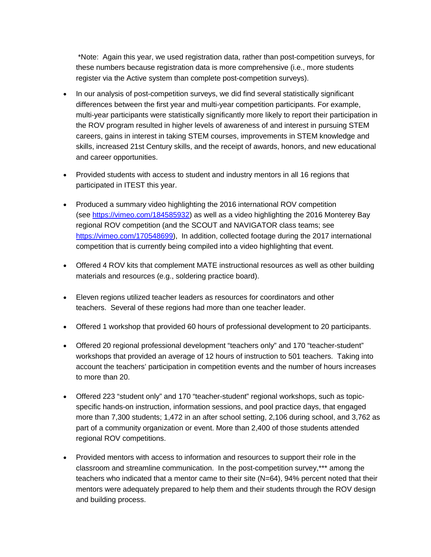\*Note: Again this year, we used registration data, rather than post-competition surveys, for these numbers because registration data is more comprehensive (i.e., more students register via the Active system than complete post-competition surveys).

- In our analysis of post-competition surveys, we did find several statistically significant differences between the first year and multi-year competition participants. For example, multi-year participants were statistically significantly more likely to report their participation in the ROV program resulted in higher levels of awareness of and interest in pursuing STEM careers, gains in interest in taking STEM courses, improvements in STEM knowledge and skills, increased 21st Century skills, and the receipt of awards, honors, and new educational and career opportunities.
- Provided students with access to student and industry mentors in all 16 regions that participated in ITEST this year.
- Produced a summary video highlighting the 2016 international ROV competition (see [https://vimeo.com/184585932\)](https://vimeo.com/184585932) as well as a video highlighting the 2016 Monterey Bay regional ROV competition (and the SCOUT and NAVIGATOR class teams; see [https://vimeo.com/170548699\)](https://vimeo.com/170548699), In addition, collected footage during the 2017 international competition that is currently being compiled into a video highlighting that event.
- Offered 4 ROV kits that complement MATE instructional resources as well as other building materials and resources (e.g., soldering practice board).
- Eleven regions utilized teacher leaders as resources for coordinators and other teachers. Several of these regions had more than one teacher leader.
- Offered 1 workshop that provided 60 hours of professional development to 20 participants.
- Offered 20 regional professional development "teachers only" and 170 "teacher-student" workshops that provided an average of 12 hours of instruction to 501 teachers. Taking into account the teachers' participation in competition events and the number of hours increases to more than 20.
- Offered 223 "student only" and 170 "teacher-student" regional workshops, such as topicspecific hands-on instruction, information sessions, and pool practice days, that engaged more than 7,300 students; 1,472 in an after school setting, 2,106 during school, and 3,762 as part of a community organization or event. More than 2,400 of those students attended regional ROV competitions.
- Provided mentors with access to information and resources to support their role in the classroom and streamline communication. In the post-competition survey,\*\*\* among the teachers who indicated that a mentor came to their site (N=64), 94% percent noted that their mentors were adequately prepared to help them and their students through the ROV design and building process.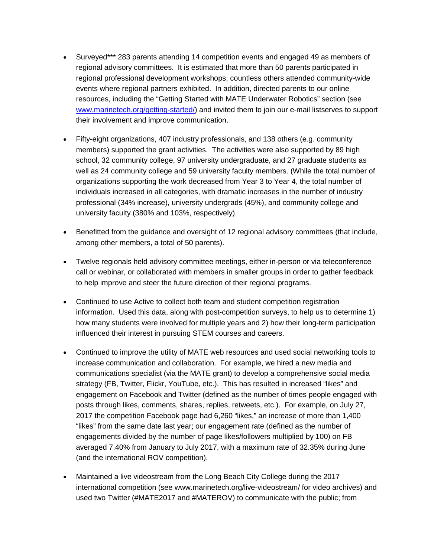- Surveyed\*\*\* 283 parents attending 14 competition events and engaged 49 as members of regional advisory committees. It is estimated that more than 50 parents participated in regional professional development workshops; countless others attended community-wide events where regional partners exhibited. In addition, directed parents to our online resources, including the "Getting Started with MATE Underwater Robotics" section (see [www.marinetech.org/getting-started/\)](http://www.marinetech.org/getting-started/) and invited them to join our e-mail listserves to support their involvement and improve communication.
- Fifty-eight organizations, 407 industry professionals, and 138 others (e.g. community members) supported the grant activities. The activities were also supported by 89 high school, 32 community college, 97 university undergraduate, and 27 graduate students as well as 24 community college and 59 university faculty members. (While the total number of organizations supporting the work decreased from Year 3 to Year 4, the total number of individuals increased in all categories, with dramatic increases in the number of industry professional (34% increase), university undergrads (45%), and community college and university faculty (380% and 103%, respectively).
- Benefitted from the guidance and oversight of 12 regional advisory committees (that include, among other members, a total of 50 parents).
- Twelve regionals held advisory committee meetings, either in-person or via teleconference call or webinar, or collaborated with members in smaller groups in order to gather feedback to help improve and steer the future direction of their regional programs.
- Continued to use Active to collect both team and student competition registration information. Used this data, along with post-competition surveys, to help us to determine 1) how many students were involved for multiple years and 2) how their long-term participation influenced their interest in pursuing STEM courses and careers.
- Continued to improve the utility of MATE web resources and used social networking tools to increase communication and collaboration. For example, we hired a new media and communications specialist (via the MATE grant) to develop a comprehensive social media strategy (FB, Twitter, Flickr, YouTube, etc.). This has resulted in increased "likes" and engagement on Facebook and Twitter (defined as the number of times people engaged with posts through likes, comments, shares, replies, retweets, etc.). For example, on July 27, 2017 the competition Facebook page had 6,260 "likes," an increase of more than 1,400 "likes" from the same date last year; our engagement rate (defined as the number of engagements divided by the number of page likes/followers multiplied by 100) on FB averaged 7.40% from January to July 2017, with a maximum rate of 32.35% during June (and the international ROV competition).
- Maintained a live videostream from the Long Beach City College during the 2017 international competition (see www.marinetech.org/live-videostream/ for video archives) and used two Twitter (#MATE2017 and #MATEROV) to communicate with the public; from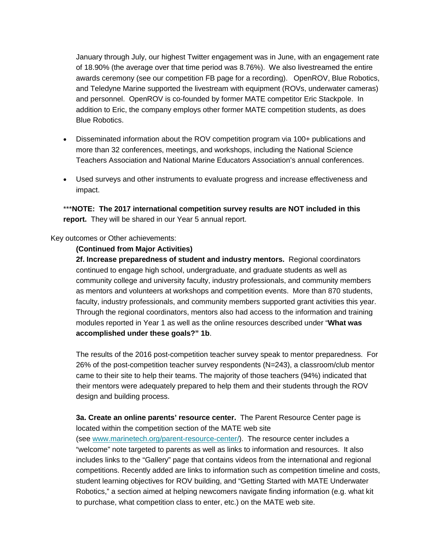January through July, our highest Twitter engagement was in June, with an engagement rate of 18.90% (the average over that time period was 8.76%). We also livestreamed the entire awards ceremony (see our competition FB page for a recording). OpenROV, Blue Robotics, and Teledyne Marine supported the livestream with equipment (ROVs, underwater cameras) and personnel. OpenROV is co-founded by former MATE competitor Eric Stackpole. In addition to Eric, the company employs other former MATE competition students, as does Blue Robotics.

- Disseminated information about the ROV competition program via 100+ publications and more than 32 conferences, meetings, and workshops, including the National Science Teachers Association and National Marine Educators Association's annual conferences.
- Used surveys and other instruments to evaluate progress and increase effectiveness and impact.

\*\*\***NOTE: The 2017 international competition survey results are NOT included in this report.** They will be shared in our Year 5 annual report.

#### Key outcomes or Other achievements:

#### **(Continued from Major Activities)**

**2f. Increase preparedness of student and industry mentors.** Regional coordinators continued to engage high school, undergraduate, and graduate students as well as community college and university faculty, industry professionals, and community members as mentors and volunteers at workshops and competition events. More than 870 students, faculty, industry professionals, and community members supported grant activities this year. Through the regional coordinators, mentors also had access to the information and training modules reported in Year 1 as well as the online resources described under "**What was accomplished under these goals?" 1b**.

The results of the 2016 post-competition teacher survey speak to mentor preparedness. For 26% of the post-competition teacher survey respondents  $(N=243)$ , a classroom/club mentor came to their site to help their teams. The majority of those teachers (94%) indicated that their mentors were adequately prepared to help them and their students through the ROV design and building process.

**3a. Create an online parents' resource center.** The Parent Resource Center page is located within the competition section of the MATE web site (see [www.marinetech.org/parent-resource-center/\)](http://www.marinetech.org/parent-resource-center/). The resource center includes a "welcome" note targeted to parents as well as links to information and resources. It also includes links to the "Gallery" page that contains videos from the international and regional competitions. Recently added are links to information such as competition timeline and costs, student learning objectives for ROV building, and "Getting Started with MATE Underwater Robotics," a section aimed at helping newcomers navigate finding information (e.g. what kit to purchase, what competition class to enter, etc.) on the MATE web site.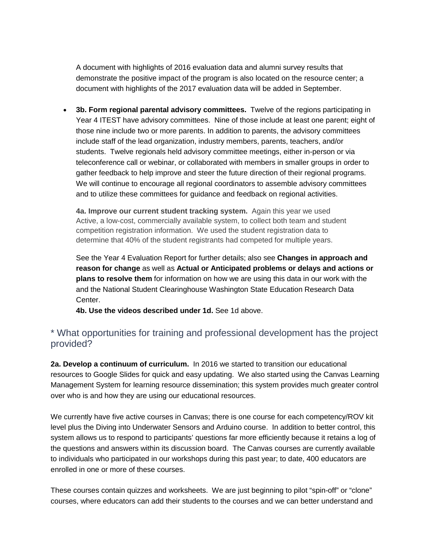A document with highlights of 2016 evaluation data and alumni survey results that demonstrate the positive impact of the program is also located on the resource center; a document with highlights of the 2017 evaluation data will be added in September.

• **3b. Form regional parental advisory committees.** Twelve of the regions participating in Year 4 ITEST have advisory committees. Nine of those include at least one parent; eight of those nine include two or more parents. In addition to parents, the advisory committees include staff of the lead organization, industry members, parents, teachers, and/or students. Twelve regionals held advisory committee meetings, either in-person or via teleconference call or webinar, or collaborated with members in smaller groups in order to gather feedback to help improve and steer the future direction of their regional programs. We will continue to encourage all regional coordinators to assemble advisory committees and to utilize these committees for guidance and feedback on regional activities.

**4a. Improve our current student tracking system.** Again this year we used Active, a low-cost, commercially available system, to collect both team and student competition registration information. We used the student registration data to determine that 40% of the student registrants had competed for multiple years.

See the Year 4 Evaluation Report for further details; also see **Changes in approach and reason for change** as well as **Actual or Anticipated problems or delays and actions or plans to resolve them** for information on how we are using this data in our work with the and the National Student Clearinghouse Washington State Education Research Data Center.

**4b. Use the videos described under 1d.** See 1d above.

## \* What opportunities for training and professional development has the project provided?

**2a. Develop a continuum of curriculum.** In 2016 we started to transition our educational resources to Google Slides for quick and easy updating. We also started using the Canvas Learning Management System for learning resource dissemination; this system provides much greater control over who is and how they are using our educational resources.

We currently have five active courses in Canvas; there is one course for each competency/ROV kit level plus the Diving into Underwater Sensors and Arduino course. In addition to better control, this system allows us to respond to participants' questions far more efficiently because it retains a log of the questions and answers within its discussion board. The Canvas courses are currently available to individuals who participated in our workshops during this past year; to date, 400 educators are enrolled in one or more of these courses.

These courses contain quizzes and worksheets. We are just beginning to pilot "spin-off" or "clone" courses, where educators can add their students to the courses and we can better understand and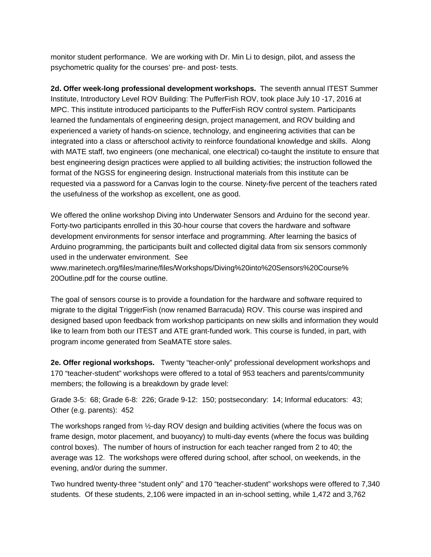monitor student performance. We are working with Dr. Min Li to design, pilot, and assess the psychometric quality for the courses' pre- and post- tests.

**2d. Offer week-long professional development workshops.** The seventh annual ITEST Summer Institute, Introductory Level ROV Building: The PufferFish ROV, took place July 10 -17, 2016 at MPC. This institute introduced participants to the PufferFish ROV control system. Participants learned the fundamentals of engineering design, project management, and ROV building and experienced a variety of hands-on science, technology, and engineering activities that can be integrated into a class or afterschool activity to reinforce foundational knowledge and skills. Along with MATE staff, two engineers (one mechanical, one electrical) co-taught the institute to ensure that best engineering design practices were applied to all building activities; the instruction followed the format of the NGSS for engineering design. Instructional materials from this institute can be requested via a password for a Canvas login to the course. Ninety-five percent of the teachers rated the usefulness of the workshop as excellent, one as good.

We offered the online workshop Diving into Underwater Sensors and Arduino for the second year. Forty-two participants enrolled in this 30-hour course that covers the hardware and software development environments for sensor interface and programming. After learning the basics of Arduino programming, the participants built and collected digital data from six sensors commonly used in the underwater environment. See www.marinetech.org/files/marine/files/Workshops/Diving%20into%20Sensors%20Course% 20Outline.pdf for the course outline.

The goal of sensors course is to provide a foundation for the hardware and software required to migrate to the digital TriggerFish (now renamed Barracuda) ROV. This course was inspired and designed based upon feedback from workshop participants on new skills and information they would like to learn from both our ITEST and ATE grant-funded work. This course is funded, in part, with program income generated from SeaMATE store sales.

**2e. Offer regional workshops.** Twenty "teacher-only" professional development workshops and 170 "teacher-student" workshops were offered to a total of 953 teachers and parents/community members; the following is a breakdown by grade level:

Grade 3-5: 68; Grade 6-8: 226; Grade 9-12: 150; postsecondary: 14; Informal educators: 43; Other (e.g. parents): 452

The workshops ranged from ½-day ROV design and building activities (where the focus was on frame design, motor placement, and buoyancy) to multi-day events (where the focus was building control boxes). The number of hours of instruction for each teacher ranged from 2 to 40; the average was 12. The workshops were offered during school, after school, on weekends, in the evening, and/or during the summer.

Two hundred twenty-three "student only" and 170 "teacher-student" workshops were offered to 7,340 students. Of these students, 2,106 were impacted in an in-school setting, while 1,472 and 3,762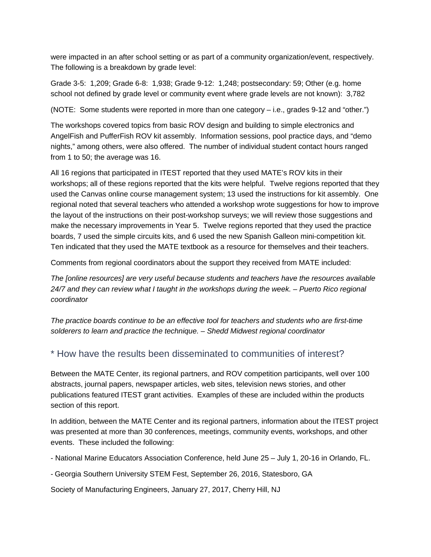were impacted in an after school setting or as part of a community organization/event, respectively. The following is a breakdown by grade level:

Grade 3-5: 1,209; Grade 6-8: 1,938; Grade 9-12: 1,248; postsecondary: 59; Other (e.g. home school not defined by grade level or community event where grade levels are not known): 3,782

(NOTE: Some students were reported in more than one category – i.e., grades 9-12 and "other.")

The workshops covered topics from basic ROV design and building to simple electronics and AngelFish and PufferFish ROV kit assembly. Information sessions, pool practice days, and "demo nights," among others, were also offered. The number of individual student contact hours ranged from 1 to 50; the average was 16.

All 16 regions that participated in ITEST reported that they used MATE's ROV kits in their workshops; all of these regions reported that the kits were helpful. Twelve regions reported that they used the Canvas online course management system; 13 used the instructions for kit assembly. One regional noted that several teachers who attended a workshop wrote suggestions for how to improve the layout of the instructions on their post-workshop surveys; we will review those suggestions and make the necessary improvements in Year 5. Twelve regions reported that they used the practice boards, 7 used the simple circuits kits, and 6 used the new Spanish Galleon mini-competition kit. Ten indicated that they used the MATE textbook as a resource for themselves and their teachers.

Comments from regional coordinators about the support they received from MATE included:

*The [online resources] are very useful because students and teachers have the resources available 24/7 and they can review what I taught in the workshops during the week. – Puerto Rico regional coordinator*

*The practice boards continue to be an effective tool for teachers and students who are first-time solderers to learn and practice the technique. – Shedd Midwest regional coordinator*

## \* How have the results been disseminated to communities of interest?

Between the MATE Center, its regional partners, and ROV competition participants, well over 100 abstracts, journal papers, newspaper articles, web sites, television news stories, and other publications featured ITEST grant activities. Examples of these are included within the products section of this report.

In addition, between the MATE Center and its regional partners, information about the ITEST project was presented at more than 30 conferences, meetings, community events, workshops, and other events. These included the following:

- National Marine Educators Association Conference, held June 25 July 1, 20-16 in Orlando, FL.
- Georgia Southern University STEM Fest, September 26, 2016, Statesboro, GA

Society of Manufacturing Engineers, January 27, 2017, Cherry Hill, NJ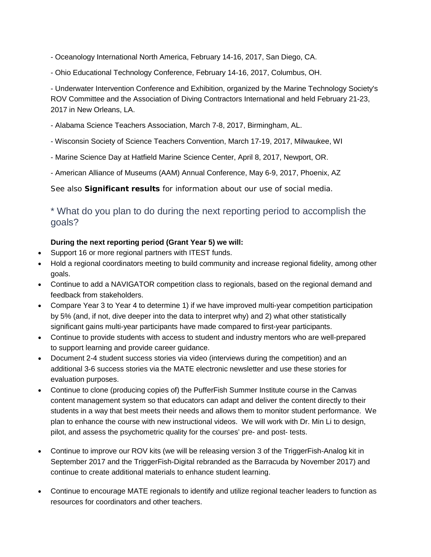- Oceanology International North America, February 14-16, 2017, San Diego, CA.
- Ohio Educational Technology Conference, February 14-16, 2017, Columbus, OH.

- Underwater Intervention Conference and Exhibition, organized by the Marine Technology Society's ROV Committee and the Association of Diving Contractors International and held February 21-23, 2017 in New Orleans, LA.

- Alabama Science Teachers Association, March 7-8, 2017, Birmingham, AL.
- Wisconsin Society of Science Teachers Convention, March 17-19, 2017, Milwaukee, WI
- Marine Science Day at Hatfield Marine Science Center, April 8, 2017, Newport, OR.
- American Alliance of Museums (AAM) Annual Conference, May 6-9, 2017, Phoenix, AZ

See also **Significant results** for information about our use of social media.

## \* What do you plan to do during the next reporting period to accomplish the goals?

#### **During the next reporting period (Grant Year 5) we will:**

- Support 16 or more regional partners with ITEST funds.
- Hold a regional coordinators meeting to build community and increase regional fidelity, among other goals.
- Continue to add a NAVIGATOR competition class to regionals, based on the regional demand and feedback from stakeholders.
- Compare Year 3 to Year 4 to determine 1) if we have improved multi-year competition participation by 5% (and, if not, dive deeper into the data to interpret why) and 2) what other statistically significant gains multi-year participants have made compared to first-year participants.
- Continue to provide students with access to student and industry mentors who are well-prepared to support learning and provide career guidance.
- Document 2-4 student success stories via video (interviews during the competition) and an additional 3-6 success stories via the MATE electronic newsletter and use these stories for evaluation purposes.
- Continue to clone (producing copies of) the PufferFish Summer Institute course in the Canvas content management system so that educators can adapt and deliver the content directly to their students in a way that best meets their needs and allows them to monitor student performance. We plan to enhance the course with new instructional videos. We will work with Dr. Min Li to design, pilot, and assess the psychometric quality for the courses' pre- and post- tests.
- Continue to improve our ROV kits (we will be releasing version 3 of the TriggerFish-Analog kit in September 2017 and the TriggerFish-Digital rebranded as the Barracuda by November 2017) and continue to create additional materials to enhance student learning.
- Continue to encourage MATE regionals to identify and utilize regional teacher leaders to function as resources for coordinators and other teachers.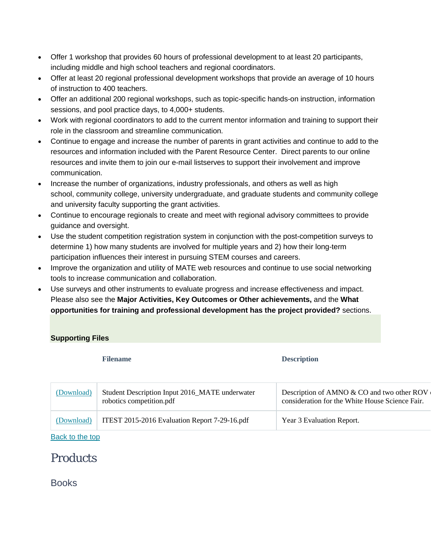- Offer 1 workshop that provides 60 hours of professional development to at least 20 participants, including middle and high school teachers and regional coordinators.
- Offer at least 20 regional professional development workshops that provide an average of 10 hours of instruction to 400 teachers.
- Offer an additional 200 regional workshops, such as topic-specific hands-on instruction, information sessions, and pool practice days, to 4,000+ students.
- Work with regional coordinators to add to the current mentor information and training to support their role in the classroom and streamline communication.
- Continue to engage and increase the number of parents in grant activities and continue to add to the resources and information included with the Parent Resource Center. Direct parents to our online resources and invite them to join our e-mail listserves to support their involvement and improve communication.
- Increase the number of organizations, industry professionals, and others as well as high school, community college, university undergraduate, and graduate students and community college and university faculty supporting the grant activities.
- Continue to encourage regionals to create and meet with regional advisory committees to provide guidance and oversight.
- Use the student competition registration system in conjunction with the post-competition surveys to determine 1) how many students are involved for multiple years and 2) how their long-term participation influences their interest in pursuing STEM courses and careers.
- Improve the organization and utility of MATE web resources and continue to use social networking tools to increase communication and collaboration.
- Use surveys and other instruments to evaluate progress and increase effectiveness and impact. Please also see the **Major Activities, Key Outcomes or Other achievements,** and the **What opportunities for training and professional development has the project provided?** sections.

#### **Supporting Files**

**Filename Description**

| (Download) | Student Description Input 2016_MATE underwater<br>robotics competition.pdf | Description of AMNO & CO and two other ROV<br>consideration for the White House Science Fair. |
|------------|----------------------------------------------------------------------------|-----------------------------------------------------------------------------------------------|
| (Download) | ITEST 2015-2016 Evaluation Report 7-29-16.pdf                              | Year 3 Evaluation Report.                                                                     |

[Back](https://reporting.research.gov/rppr-web/rppr?execution=e1s2#top) to the top

# **Products**

Books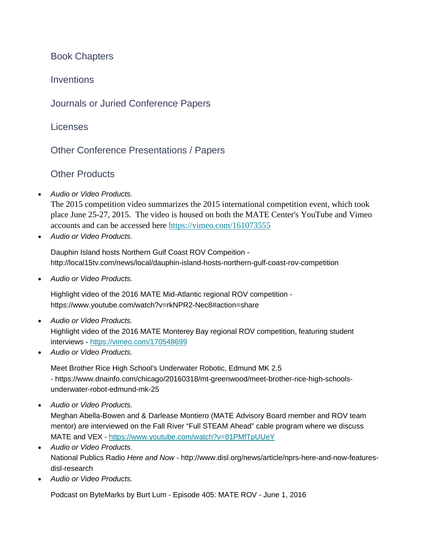Book Chapters

**Inventions** 

Journals or Juried Conference Papers

Licenses

Other Conference Presentations / Papers

Other Products

• *Audio or Video Products.*

The 2015 competition video summarizes the 2015 international competition event, which took place June 25-27, 2015. The video is housed on both the MATE Center's YouTube and Vimeo accounts and can be accessed here <https://vimeo.com/161073555>

• *Audio or Video Products.*

Dauphin Island hosts Northern Gulf Coast ROV Compeition http://local15tv.com/news/local/dauphin-island-hosts-northern-gulf-coast-rov-competition

• *Audio or Video Products.*

Highlight video of the 2016 MATE Mid-Atlantic regional ROV competition https://www.youtube.com/watch?v=rkNPR2-Nec8#action=share

- *Audio or Video Products.* Highlight video of the 2016 MATE Monterey Bay regional ROV competition, featuring student interviews - <https://vimeo.com/170548699>
- *Audio or Video Products.*

Meet Brother Rice High School's Underwater Robotic, Edmund MK 2.5 - https://www.dnainfo.com/chicago/20160318/mt-greenwood/meet-brother-rice-high-schoolsunderwater-robot-edmund-mk-25

• *Audio or Video Products.*

Meghan Abella-Bowen and & Darlease Montiero (MATE Advisory Board member and ROV team mentor) are interviewed on the Fall River "Full STEAM Ahead" cable program where we discuss MATE and VEX - <https://www.youtube.com/watch?v=81PMfTpUUeY>

- *Audio or Video Products.* National Publics Radio *Here and Now -* http://www.disl.org/news/article/nprs-here-and-now-featuresdisl-research
- *Audio or Video Products.*

Podcast on ByteMarks by Burt Lum - Episode 405: MATE ROV - June 1, 2016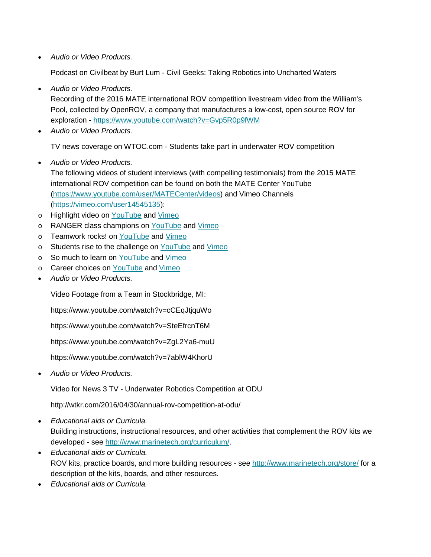• *Audio or Video Products.*

Podcast on Civilbeat by Burt Lum - Civil Geeks: Taking Robotics into Uncharted Waters

• *Audio or Video Products.*

Recording of the 2016 MATE international ROV competition livestream video from the William's Pool, collected by OpenROV, a company that manufactures a low-cost, open source ROV for exploration - <https://www.youtube.com/watch?v=Gvp5R0p9fWM>

• *Audio or Video Products.*

TV news coverage on WTOC.com - Students take part in underwater ROV competition

• *Audio or Video Products.*

The following videos of student interviews (with compelling testimonials) from the 2015 MATE international ROV competition can be found on both the MATE Center YouTube [\(https://www.youtube.com/user/MATECenter/videos\)](https://www.youtube.com/user/MATECenter/videos) and Vimeo Channels [\(https://vimeo.com/user14545135\)](https://vimeo.com/user14545135):

- o Highlight video on [YouTube](https://www.youtube.com/watch?v=PGbw_j3689k) and [Vimeo](https://vimeo.com/161073555)
- o RANGER class champions on [YouTube](https://www.youtube.com/watch?v=NGQOSVzuJCc) and [Vimeo](https://vimeo.com/161112797)
- o Teamwork rocks! on [YouTube](https://www.youtube.com/watch?v=eKi3-jHCK4w) and [Vimeo](https://vimeo.com/161118917)
- o Students rise to the challenge on [YouTube](https://www.youtube.com/watch?v=VaEvVRQwKdQ) and [Vimeo](https://vimeo.com/161116919)
- o So much to learn on [YouTube](https://www.youtube.com/watch?v=2vwdt94uUZQ) and [Vimeo](https://vimeo.com/161120410)
- o Career choices on [YouTube](https://www.youtube.com/watch?v=CKmY2P_4Mts) and [Vimeo](https://vimeo.com/161115058)
- *Audio or Video Products.*

Video Footage from a Team in Stockbridge, MI:

https://www.youtube.com/watch?v=cCEqJtjquWo

https://www.youtube.com/watch?v=SteEfrcnT6M

https://www.youtube.com/watch?v=ZgL2Ya6-muU

https://www.youtube.com/watch?v=7ablW4KhorU

• *Audio or Video Products.*

Video for News 3 TV - Underwater Robotics Competition at ODU

http://wtkr.com/2016/04/30/annual-rov-competition-at-odu/

- *Educational aids or Curricula.* Building instructions, instructional resources, and other activities that complement the ROV kits we developed - see [http://www.marinetech.org/curriculum/.](http://www.marinetech.org/curriculum/)
- *Educational aids or Curricula.* ROV kits, practice boards, and more building resources - see <http://www.marinetech.org/store/> for a description of the kits, boards, and other resources.
- *Educational aids or Curricula.*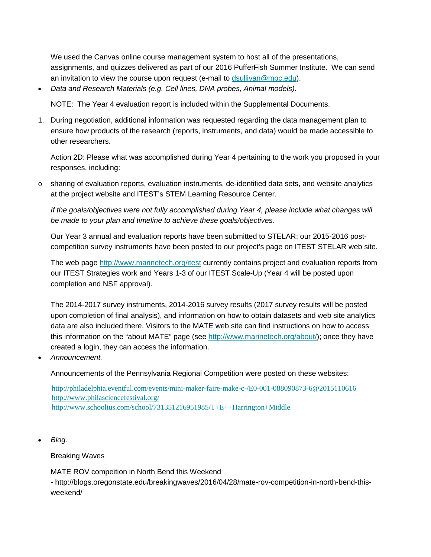We used the Canvas online course management system to host all of the presentations, assignments, and quizzes delivered as part of our 2016 PufferFish Summer Institute. We can send an invitation to view the course upon request (e-mail to [dsullivan@mpc.edu\)](mailto:dsullivan@mpc.edu).

• *Data and Research Materials (e.g. Cell lines, DNA probes, Animal models).*

NOTE: The Year 4 evaluation report is included within the Supplemental Documents.

1. During negotiation, additional information was requested regarding the data management plan to ensure how products of the research (reports, instruments, and data) would be made accessible to other researchers.

Action 2D: Please what was accomplished during Year 4 pertaining to the work you proposed in your responses, including:

 $\circ$  sharing of evaluation reports, evaluation instruments, de-identified data sets, and website analytics at the project website and ITEST's STEM Learning Resource Center.

*If the goals/objectives were not fully accomplished during Year 4, please include what changes will be made to your plan and timeline to achieve these goals/objectives.*

Our Year 3 annual and evaluation reports have been submitted to STELAR; our 2015-2016 postcompetition survey instruments have been posted to our project's page on ITEST STELAR web site.

The web page <http://www.marinetech.org/itest> currently contains project and evaluation reports from our ITEST Strategies work and Years 1-3 of our ITEST Scale-Up (Year 4 will be posted upon completion and NSF approval).

The 2014-2017 survey instruments, 2014-2016 survey results (2017 survey results will be posted upon completion of final analysis), and information on how to obtain datasets and web site analytics data are also included there. Visitors to the MATE web site can find instructions on how to access this information on the "about MATE" page (see [http://www.marinetech.org/about/\)](http://www.marinetech.org/about/); once they have created a login, they can access the information.

• *Announcement.*

Announcements of the Pennsylvania Regional Competition were posted on these websites:

<http://philadelphia.eventful.com/events/mini-maker-faire-make-c-/E0-001-088090873-6@2015110616> <http://www.philasciencefestival.org/> <http://www.schoolius.com/school/731351216951985/T+E++Harrington+Middle>

• *Blog.*

Breaking Waves

MATE ROV compeition in North Bend this Weekend

- http://blogs.oregonstate.edu/breakingwaves/2016/04/28/mate-rov-competition-in-north-bend-thisweekend/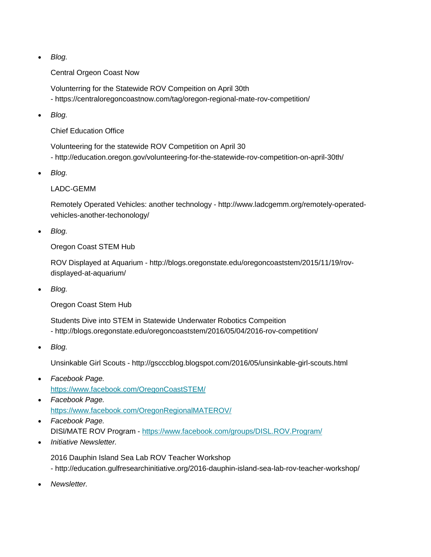• *Blog.*

Central Orgeon Coast Now

Volunterring for the Statewide ROV Compeition on April 30th - https://centraloregoncoastnow.com/tag/oregon-regional-mate-rov-competition/

• *Blog.*

Chief Education Office

Volunteering for the statewide ROV Competition on April 30 - http://education.oregon.gov/volunteering-for-the-statewide-rov-competition-on-april-30th/

• *Blog.*

LADC-GEMM

Remotely Operated Vehicles: another technology - http://www.ladcgemm.org/remotely-operatedvehicles-another-techonology/

• *Blog.*

Oregon Coast STEM Hub

ROV Displayed at Aquarium - http://blogs.oregonstate.edu/oregoncoaststem/2015/11/19/rovdisplayed-at-aquarium/

• *Blog.*

Oregon Coast Stem Hub

Students Dive into STEM in Statewide Underwater Robotics Compeition - http://blogs.oregonstate.edu/oregoncoaststem/2016/05/04/2016-rov-competition/

• *Blog.*

Unsinkable Girl Scouts - http://gscccblog.blogspot.com/2016/05/unsinkable-girl-scouts.html

- *Facebook Page.* <https://www.facebook.com/OregonCoastSTEM/>
- *Facebook Page.* <https://www.facebook.com/OregonRegionalMATEROV/>
- *Facebook Page.* DISl/MATE ROV Program - <https://www.facebook.com/groups/DISL.ROV.Program/>
- *Initiative Newsletter.*

2016 Dauphin Island Sea Lab ROV Teacher Workshop

- http://education.gulfresearchinitiative.org/2016-dauphin-island-sea-lab-rov-teacher-workshop/

• *Newsletter.*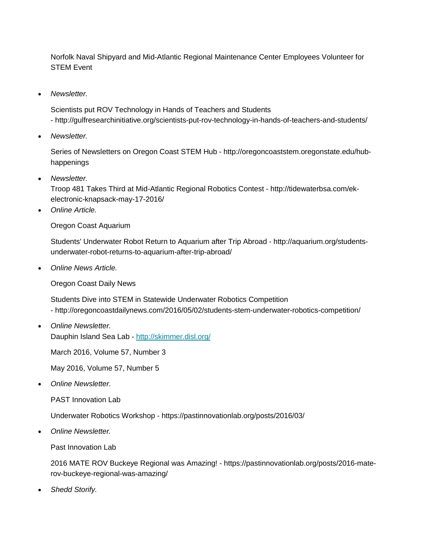Norfolk Naval Shipyard and Mid-Atlantic Regional Maintenance Center Employees Volunteer for STEM Event

• *Newsletter.*

Scientists put ROV Technology in Hands of Teachers and Students - http://gulfresearchinitiative.org/scientists-put-rov-technology-in-hands-of-teachers-and-students/

• *Newsletter.*

Series of Newsletters on Oregon Coast STEM Hub - http://oregoncoaststem.oregonstate.edu/hubhappenings

• *Newsletter.*

Troop 481 Takes Third at Mid-Atlantic Regional Robotics Contest - http://tidewaterbsa.com/ekelectronic-knapsack-may-17-2016/

• *Online Article.*

Oregon Coast Aquarium

Students' Underwater Robot Return to Aquarium after Trip Abroad - http://aquarium.org/studentsunderwater-robot-returns-to-aquarium-after-trip-abroad/

• *Online News Article.*

Oregon Coast Daily News

Students Dive into STEM in Statewide Underwater Robotics Competition - http://oregoncoastdailynews.com/2016/05/02/students-stem-underwater-robotics-competition/

• *Online Newsletter.* Dauphin Island Sea Lab - <http://skimmer.disl.org/>

March 2016, Volume 57, Number 3

May 2016, Volume 57, Number 5

• *Online Newsletter.*

PAST Innovation Lab

Underwater Robotics Workshop - https://pastinnovationlab.org/posts/2016/03/

• *Online Newsletter.*

Past Innovation Lab

2016 MATE ROV Buckeye Regional was Amazing! - https://pastinnovationlab.org/posts/2016-materov-buckeye-regional-was-amazing/

• *Shedd Storify.*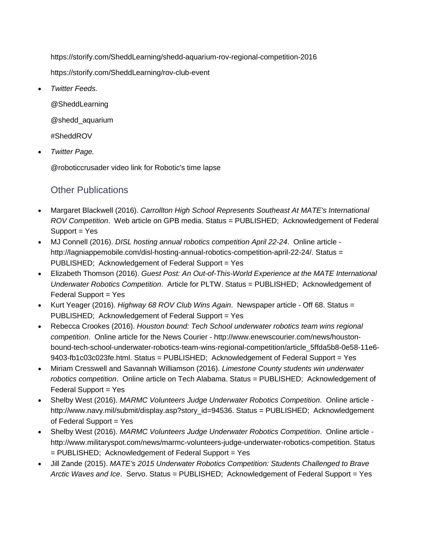https://storify.com/SheddLearning/shedd-aquarium-rov-regional-competition-2016

https://storify.com/SheddLearning/rov-club-event

• *Twitter Feeds.*

@SheddLearning @shedd\_aquarium #SheddROV

• *Twitter Page.*

@roboticcrusader video link for Robotic's time lapse

## Other Publications

- Margaret Blackwell (2016). *Carrollton High School Represents Southeast At MATE's International ROV Competition*. Web article on GPB media. Status = PUBLISHED; Acknowledgement of Federal Support = Yes
- MJ Connell (2016). *DISL hosting annual robotics competition April 22-24*. Online article http://lagniappemobile.com/disl-hosting-annual-robotics-competition-april-22-24/. Status = PUBLISHED; Acknowledgement of Federal Support = Yes
- Elizabeth Thomson (2016). *Guest Post: An Out-of-This-World Experience at the MATE International Underwater Robotics Competition*. Article for PLTW. Status = PUBLISHED; Acknowledgement of Federal Support = Yes
- Kurt Yeager (2016). *Highway 68 ROV Club Wins Again*. Newspaper article Off 68. Status = PUBLISHED; Acknowledgement of Federal Support = Yes
- Rebecca Crookes (2016). *Houston bound: Tech School underwater robotics team wins regional competition*. Online article for the News Courier - http://www.enewscourier.com/news/houstonbound-tech-school-underwater-robotics-team-wins-regional-competition/article\_5ffda5b8-0e58-11e6- 9403-fb1c03c023fe.html. Status = PUBLISHED; Acknowledgement of Federal Support = Yes
- Miriam Cresswell and Savannah Williamson (2016). *Limestone County students win underwater robotics competition*. Online article on Tech Alabama. Status = PUBLISHED; Acknowledgement of Federal Support = Yes
- Shelby West (2016). *MARMC Volunteers Judge Underwater Robotics Competition*. Online article http://www.navy.mil/submit/display.asp?story\_id=94536. Status = PUBLISHED; Acknowledgement of Federal Support = Yes
- Shelby West (2016). *MARMC Volunteers Judge Underwater Robotics Competition*. Online article http://www.militaryspot.com/news/marmc-volunteers-judge-underwater-robotics-competition. Status = PUBLISHED; Acknowledgement of Federal Support = Yes
- Jill Zande (2015). *MATE's 2015 Underwater Robotics Competition: Students Challenged to Brave Arctic Waves and Ice*. Servo. Status = PUBLISHED; Acknowledgement of Federal Support = Yes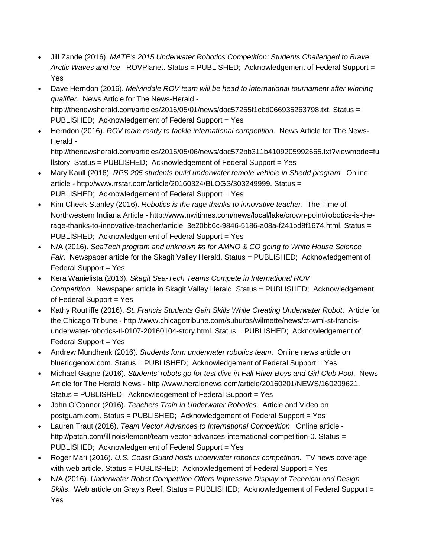- Jill Zande (2016). *MATE's 2015 Underwater Robotics Competition: Students Challenged to Brave Arctic Waves and Ice*. ROVPlanet. Status = PUBLISHED; Acknowledgement of Federal Support = Yes
- Dave Herndon (2016). *Melvindale ROV team will be head to international tournament after winning qualifier*. News Article for The News-Herald http://thenewsherald.com/articles/2016/05/01/news/doc57255f1cbd066935263798.txt. Status = PUBLISHED; Acknowledgement of Federal Support = Yes
- Herndon (2016). *ROV team ready to tackle international competition*. News Article for The News-Herald -

http://thenewsherald.com/articles/2016/05/06/news/doc572bb311b4109205992665.txt?viewmode=fu llstory. Status = PUBLISHED; Acknowledgement of Federal Support = Yes

- Mary Kaull (2016). *RPS 205 students build underwater remote vehicle in Shedd program*. Online article - http://www.rrstar.com/article/20160324/BLOGS/303249999. Status = PUBLISHED; Acknowledgement of Federal Support = Yes
- Kim Cheek-Stanley (2016). *Robotics is the rage thanks to innovative teacher*. The Time of Northwestern Indiana Article - http://www.nwitimes.com/news/local/lake/crown-point/robotics-is-therage-thanks-to-innovative-teacher/article\_3e20bb6c-9846-5186-a08a-f241bd8f1674.html. Status = PUBLISHED; Acknowledgement of Federal Support = Yes
- N/A (2016). *SeaTech program and unknown #s for AMNO & CO going to White House Science Fair*. Newspaper article for the Skagit Valley Herald. Status = PUBLISHED; Acknowledgement of Federal Support = Yes
- Kera Wanielista (2016). *Skagit Sea-Tech Teams Compete in International ROV Competition*. Newspaper article in Skagit Valley Herald. Status = PUBLISHED; Acknowledgement of Federal Support = Yes
- Kathy Routliffe (2016). *St. Francis Students Gain Skills While Creating Underwater Robot*. Article for the Chicago Tribune - http://www.chicagotribune.com/suburbs/wilmette/news/ct-wml-st-francisunderwater-robotics-tl-0107-20160104-story.html. Status = PUBLISHED; Acknowledgement of Federal Support = Yes
- Andrew Mundhenk (2016). *Students form underwater robotics team*. Online news article on blueridgenow.com. Status = PUBLISHED; Acknowledgement of Federal Support = Yes
- Michael Gagne (2016). *Students' robots go for test dive in Fall River Boys and Girl Club Pool*. News Article for The Herald News - http://www.heraldnews.com/article/20160201/NEWS/160209621. Status = PUBLISHED; Acknowledgement of Federal Support = Yes
- John O'Connor (2016). *Teachers Train in Underwater Robotics*. Article and Video on postguam.com. Status = PUBLISHED; Acknowledgement of Federal Support = Yes
- Lauren Traut (2016). *Team Vector Advances to International Competition*. Online article http://patch.com/illinois/lemont/team-vector-advances-international-competition-0. Status = PUBLISHED; Acknowledgement of Federal Support = Yes
- Roger Mari (2016). *U.S. Coast Guard hosts underwater robotics competition*. TV news coverage with web article. Status = PUBLISHED; Acknowledgement of Federal Support = Yes
- N/A (2016). *Underwater Robot Competition Offers Impressive Display of Technical and Design Skills*. Web article on Gray's Reef. Status = PUBLISHED; Acknowledgement of Federal Support = Yes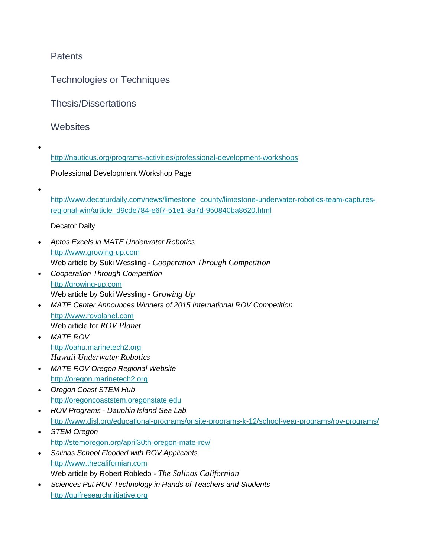## **Patents**

Technologies or Techniques

Thesis/Dissertations

**Websites** 

• <http://nauticus.org/programs-activities/professional-development-workshops> Professional Development Workshop Page

[http://www.decaturdaily.com/news/limestone\\_county/limestone-underwater-robotics-team-captures](http://www.decaturdaily.com/news/limestone_county/limestone-underwater-robotics-team-captures-regional-win/article_d9cde784-e6f7-51e1-8a7d-950840ba8620.html)[regional-win/article\\_d9cde784-e6f7-51e1-8a7d-950840ba8620.html](http://www.decaturdaily.com/news/limestone_county/limestone-underwater-robotics-team-captures-regional-win/article_d9cde784-e6f7-51e1-8a7d-950840ba8620.html)

Decator Daily

•

- *Aptos Excels in MATE Underwater Robotics* [http://www.growing-up.com](http://www.growing-up.com/) Web article by Suki Wessling - *Cooperation Through Competition*
- *Cooperation Through Competition* [http://growing-up.com](http://growing-up.com/) Web article by Suki Wessling - *Growing Up*
- *MATE Center Announces Winners of 2015 International ROV Competition* [http://www.rovplanet.com](http://www.rovplanet.com/) Web article for *ROV Planet*
- *MATE ROV* [http://oahu.marinetech2.org](http://oahu.marinetech2.org/) *Hawaii Underwater Robotics*
- *MATE ROV Oregon Regional Website* [http://oregon.marinetech2.org](http://oregon.marinetech2.org/)
- *Oregon Coast STEM Hub* [http://oregoncoaststem.oregonstate.edu](http://oregoncoaststem.oregonstate.edu/)
- *ROV Programs - Dauphin Island Sea Lab* <http://www.disl.org/educational-programs/onsite-programs-k-12/school-year-programs/rov-programs/>
- *STEM Oregon* <http://stemoregon.org/april30th-oregon-mate-rov/>
- *Salinas School Flooded with ROV Applicants* [http://www.thecalifornian.com](http://www.thecalifornian.com/) Web article by Robert Robledo - *The Salinas Californian*
- *Sciences Put ROV Technology in Hands of Teachers and Students* [http://gulfresearchnitiative.org](http://gulfresearchnitiative.org/)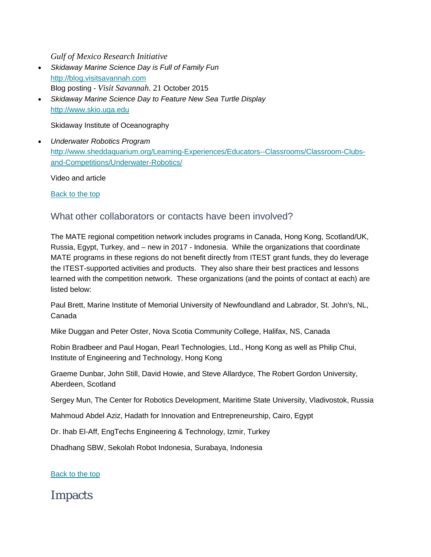*Gulf of Mexico Research Initiative*

- *Skidaway Marine Science Day is Full of Family Fun* [http://blog.visitsavannah.com](http://blog.visitsavannah.com/) Blog posting - *Visit Savannah*. 21 October 2015
- *Skidaway Marine Science Day to Feature New Sea Turtle Display* [http://www.skio.uga.edu](http://www.skio.uga.edu/)

Skidaway Institute of Oceanography

• *Underwater Robotics Program* [http://www.sheddaquarium.org/Learning-Experiences/Educators--Classrooms/Classroom-Clubs](http://www.sheddaquarium.org/Learning-Experiences/Educators--Classrooms/Classroom-Clubs-and-Competitions/Underwater-Robotics/)[and-Competitions/Underwater-Robotics/](http://www.sheddaquarium.org/Learning-Experiences/Educators--Classrooms/Classroom-Clubs-and-Competitions/Underwater-Robotics/)

Video and article

[Back](https://reporting.research.gov/rppr-web/rppr?execution=e1s2#top) to the top

## What other collaborators or contacts have been involved?

The MATE regional competition network includes programs in Canada, Hong Kong, Scotland/UK, Russia, Egypt, Turkey, and – new in 2017 - Indonesia. While the organizations that coordinate MATE programs in these regions do not benefit directly from ITEST grant funds, they do leverage the ITEST-supported activities and products. They also share their best practices and lessons learned with the competition network. These organizations (and the points of contact at each) are listed below:

Paul Brett, Marine Institute of Memorial University of Newfoundland and Labrador, St. John's, NL, Canada

Mike Duggan and Peter Oster, Nova Scotia Community College, Halifax, NS, Canada

Robin Bradbeer and Paul Hogan, Pearl Technologies, Ltd., Hong Kong as well as Philip Chui, Institute of Engineering and Technology, Hong Kong

Graeme Dunbar, John Still, David Howie, and Steve Allardyce, The Robert Gordon University, Aberdeen, Scotland

Sergey Mun, The Center for Robotics Development, Maritime State University, Vladivostok, Russia

Mahmoud Abdel Aziz, Hadath for Innovation and Entrepreneurship, Cairo, Egypt

Dr. Ihab El-Aff, EngTechs Engineering & Technology, Izmir, Turkey

Dhadhang SBW, Sekolah Robot Indonesia, Surabaya, Indonesia

[Back](https://reporting.research.gov/rppr-web/rppr?execution=e1s2#top) to the top

Impacts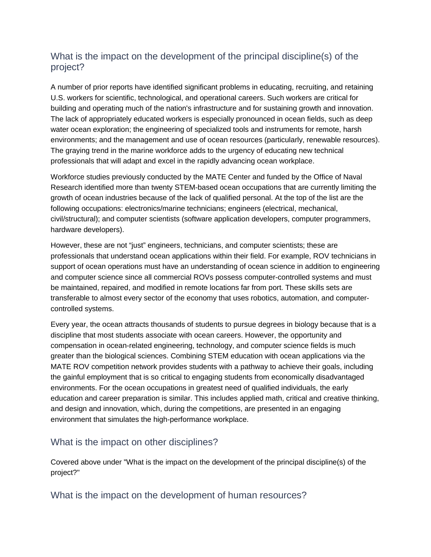## What is the impact on the development of the principal discipline(s) of the project?

A number of prior reports have identified significant problems in educating, recruiting, and retaining U.S. workers for scientific, technological, and operational careers. Such workers are critical for building and operating much of the nation's infrastructure and for sustaining growth and innovation. The lack of appropriately educated workers is especially pronounced in ocean fields, such as deep water ocean exploration; the engineering of specialized tools and instruments for remote, harsh environments; and the management and use of ocean resources (particularly, renewable resources). The graying trend in the marine workforce adds to the urgency of educating new technical professionals that will adapt and excel in the rapidly advancing ocean workplace.

Workforce studies previously conducted by the MATE Center and funded by the Office of Naval Research identified more than twenty STEM-based ocean occupations that are currently limiting the growth of ocean industries because of the lack of qualified personal. At the top of the list are the following occupations: electronics/marine technicians; engineers (electrical, mechanical, civil/structural); and computer scientists (software application developers, computer programmers, hardware developers).

However, these are not "just" engineers, technicians, and computer scientists; these are professionals that understand ocean applications within their field. For example, ROV technicians in support of ocean operations must have an understanding of ocean science in addition to engineering and computer science since all commercial ROVs possess computer-controlled systems and must be maintained, repaired, and modified in remote locations far from port. These skills sets are transferable to almost every sector of the economy that uses robotics, automation, and computercontrolled systems.

Every year, the ocean attracts thousands of students to pursue degrees in biology because that is a discipline that most students associate with ocean careers. However, the opportunity and compensation in ocean-related engineering, technology, and computer science fields is much greater than the biological sciences. Combining STEM education with ocean applications via the MATE ROV competition network provides students with a pathway to achieve their goals, including the gainful employment that is so critical to engaging students from economically disadvantaged environments. For the ocean occupations in greatest need of qualified individuals, the early education and career preparation is similar. This includes applied math, critical and creative thinking, and design and innovation, which, during the competitions, are presented in an engaging environment that simulates the high-performance workplace.

## What is the impact on other disciplines?

Covered above under "What is the impact on the development of the principal discipline(s) of the project?"

What is the impact on the development of human resources?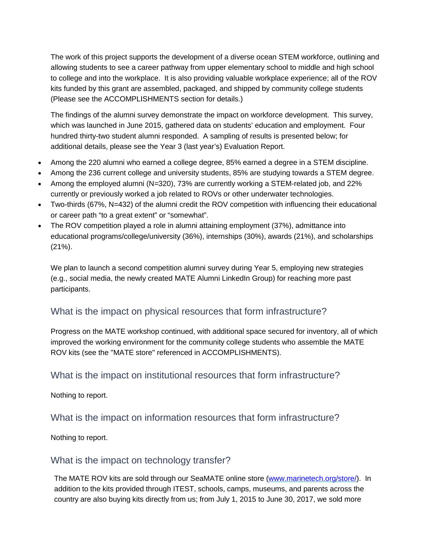The work of this project supports the development of a diverse ocean STEM workforce, outlining and allowing students to see a career pathway from upper elementary school to middle and high school to college and into the workplace. It is also providing valuable workplace experience; all of the ROV kits funded by this grant are assembled, packaged, and shipped by community college students (Please see the ACCOMPLISHMENTS section for details.)

The findings of the alumni survey demonstrate the impact on workforce development. This survey, which was launched in June 2015, gathered data on students' education and employment. Four hundred thirty-two student alumni responded. A sampling of results is presented below; for additional details, please see the Year 3 (last year's) Evaluation Report.

- Among the 220 alumni who earned a college degree, 85% earned a degree in a STEM discipline.
- Among the 236 current college and university students, 85% are studying towards a STEM degree.
- Among the employed alumni (N=320), 73% are currently working a STEM-related job, and 22% currently or previously worked a job related to ROVs or other underwater technologies.
- Two-thirds (67%, N=432) of the alumni credit the ROV competition with influencing their educational or career path "to a great extent" or "somewhat".
- The ROV competition played a role in alumni attaining employment (37%), admittance into educational programs/college/university (36%), internships (30%), awards (21%), and scholarships (21%).

We plan to launch a second competition alumni survey during Year 5, employing new strategies (e.g., social media, the newly created MATE Alumni LinkedIn Group) for reaching more past participants.

## What is the impact on physical resources that form infrastructure?

Progress on the MATE workshop continued, with additional space secured for inventory, all of which improved the working environment for the community college students who assemble the MATE ROV kits (see the "MATE store" referenced in ACCOMPLISHMENTS).

## What is the impact on institutional resources that form infrastructure?

Nothing to report.

What is the impact on information resources that form infrastructure?

Nothing to report.

### What is the impact on technology transfer?

The MATE ROV kits are sold through our SeaMATE online store [\(www.marinetech.org/store/\)](http://www.marinetech.org/store/). In addition to the kits provided through ITEST, schools, camps, museums, and parents across the country are also buying kits directly from us; from July 1, 2015 to June 30, 2017, we sold more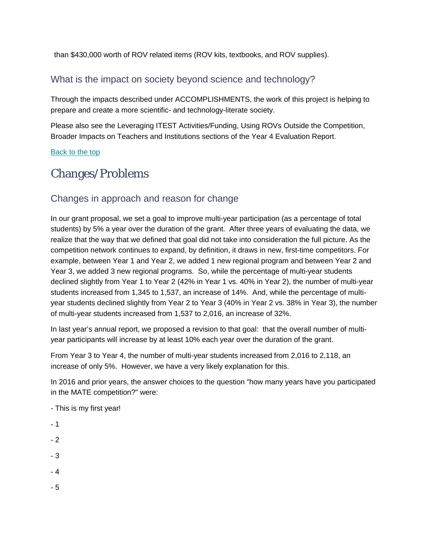than \$430,000 worth of ROV related items (ROV kits, textbooks, and ROV supplies).

## What is the impact on society beyond science and technology?

Through the impacts described under ACCOMPLISHMENTS, the work of this project is helping to prepare and create a more scientific- and technology-literate society.

Please also see the Leveraging ITEST Activities/Funding, Using ROVs Outside the Competition, Broader Impacts on Teachers and Institutions sections of the Year 4 Evaluation Report.

[Back](https://reporting.research.gov/rppr-web/rppr?execution=e1s2#top) to the top

# Changes/Problems

## Changes in approach and reason for change

In our grant proposal, we set a goal to improve multi-year participation (as a percentage of total students) by 5% a year over the duration of the grant. After three years of evaluating the data, we realize that the way that we defined that goal did not take into consideration the full picture. As the competition network continues to expand, by definition, it draws in new, first-time competitors. For example, between Year 1 and Year 2, we added 1 new regional program and between Year 2 and Year 3, we added 3 new regional programs. So, while the percentage of multi-year students declined slightly from Year 1 to Year 2 (42% in Year 1 vs. 40% in Year 2), the number of multi-year students increased from 1,345 to 1,537, an increase of 14%. And, while the percentage of multiyear students declined slightly from Year 2 to Year 3 (40% in Year 2 vs. 38% in Year 3), the number of multi-year students increased from 1,537 to 2,016, an increase of 32%.

In last year's annual report, we proposed a revision to that goal: that the overall number of multiyear participants will increase by at least 10% each year over the duration of the grant.

From Year 3 to Year 4, the number of multi-year students increased from 2,016 to 2,118, an increase of only 5%. However, we have a very likely explanation for this.

In 2016 and prior years, the answer choices to the question "how many years have you participated in the MATE competition?" were:

- This is my first year!

- 1
- 2
- 3
- 4
- 5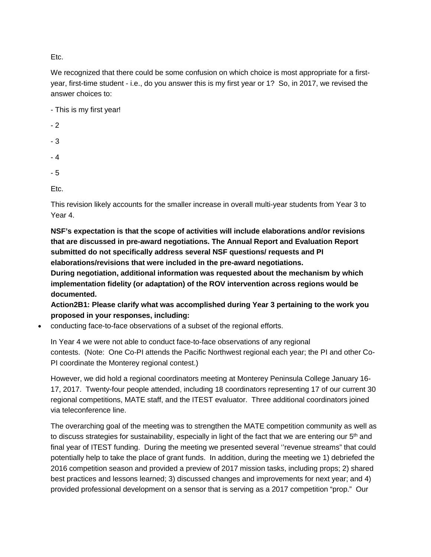Etc.

We recognized that there could be some confusion on which choice is most appropriate for a firstyear, first-time student - i.e., do you answer this is my first year or 1? So, in 2017, we revised the answer choices to:

- This is my first year!

- 2
- 3
- 4
- 5

Etc.

This revision likely accounts for the smaller increase in overall multi-year students from Year 3 to Year 4.

**NSF's expectation is that the scope of activities will include elaborations and/or revisions that are discussed in pre-award negotiations. The Annual Report and Evaluation Report submitted do not specifically address several NSF questions/ requests and PI elaborations/revisions that were included in the pre-award negotiations.**

**During negotiation, additional information was requested about the mechanism by which implementation fidelity (or adaptation) of the ROV intervention across regions would be documented.**

**Action2B1: Please clarify what was accomplished during Year 3 pertaining to the work you proposed in your responses, including:**

• conducting face-to-face observations of a subset of the regional efforts.

In Year 4 we were not able to conduct face-to-face observations of any regional contests. (Note: One Co-PI attends the Pacific Northwest regional each year; the PI and other Co-PI coordinate the Monterey regional contest.)

However, we did hold a regional coordinators meeting at Monterey Peninsula College January 16- 17, 2017. Twenty-four people attended, including 18 coordinators representing 17 of our current 30 regional competitions, MATE staff, and the ITEST evaluator. Three additional coordinators joined via teleconference line.

The overarching goal of the meeting was to strengthen the MATE competition community as well as to discuss strategies for sustainability, especially in light of the fact that we are entering our  $5<sup>th</sup>$  and final year of ITEST funding. During the meeting we presented several ''revenue streams" that could potentially help to take the place of grant funds. In addition, during the meeting we 1) debriefed the 2016 competition season and provided a preview of 2017 mission tasks, including props; 2) shared best practices and lessons learned; 3) discussed changes and improvements for next year; and 4) provided professional development on a sensor that is serving as a 2017 competition "prop." Our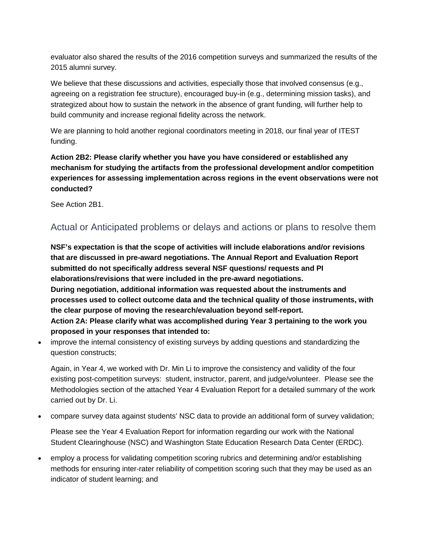evaluator also shared the results of the 2016 competition surveys and summarized the results of the 2015 alumni survey.

We believe that these discussions and activities, especially those that involved consensus (e.g., agreeing on a registration fee structure), encouraged buy-in (e.g., determining mission tasks), and strategized about how to sustain the network in the absence of grant funding, will further help to build community and increase regional fidelity across the network.

We are planning to hold another regional coordinators meeting in 2018, our final year of ITEST funding.

**Action 2B2: Please clarify whether you have you have considered or established any mechanism for studying the artifacts from the professional development and/or competition experiences for assessing implementation across regions in the event observations were not conducted?**

See Action 2B1.

## Actual or Anticipated problems or delays and actions or plans to resolve them

**NSF's expectation is that the scope of activities will include elaborations and/or revisions that are discussed in pre-award negotiations. The Annual Report and Evaluation Report submitted do not specifically address several NSF questions/ requests and PI elaborations/revisions that were included in the pre-award negotiations. During negotiation, additional information was requested about the instruments and processes used to collect outcome data and the technical quality of those instruments, with the clear purpose of moving the research/evaluation beyond self-report. Action 2A: Please clarify what was accomplished during Year 3 pertaining to the work you proposed in your responses that intended to:**

• improve the internal consistency of existing surveys by adding questions and standardizing the question constructs;

Again, in Year 4, we worked with Dr. Min Li to improve the consistency and validity of the four existing post-competition surveys: student, instructor, parent, and judge/volunteer. Please see the Methodologies section of the attached Year 4 Evaluation Report for a detailed summary of the work carried out by Dr. Li.

• compare survey data against students' NSC data to provide an additional form of survey validation;

Please see the Year 4 Evaluation Report for information regarding our work with the National Student Clearinghouse (NSC) and Washington State Education Research Data Center (ERDC).

• employ a process for validating competition scoring rubrics and determining and/or establishing methods for ensuring inter-rater reliability of competition scoring such that they may be used as an indicator of student learning; and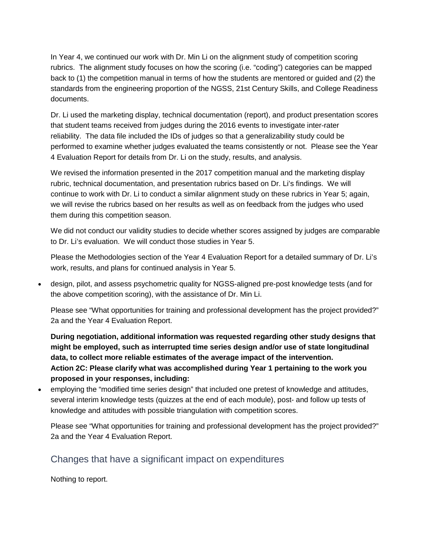In Year 4, we continued our work with Dr. Min Li on the alignment study of competition scoring rubrics. The alignment study focuses on how the scoring (i.e. "coding") categories can be mapped back to (1) the competition manual in terms of how the students are mentored or guided and (2) the standards from the engineering proportion of the NGSS, 21st Century Skills, and College Readiness documents.

Dr. Li used the marketing display, technical documentation (report), and product presentation scores that student teams received from judges during the 2016 events to investigate inter-rater reliability. The data file included the IDs of judges so that a generalizability study could be performed to examine whether judges evaluated the teams consistently or not. Please see the Year 4 Evaluation Report for details from Dr. Li on the study, results, and analysis.

We revised the information presented in the 2017 competition manual and the marketing display rubric, technical documentation, and presentation rubrics based on Dr. Li's findings. We will continue to work with Dr. Li to conduct a similar alignment study on these rubrics in Year 5; again, we will revise the rubrics based on her results as well as on feedback from the judges who used them during this competition season.

We did not conduct our validity studies to decide whether scores assigned by judges are comparable to Dr. Li's evaluation. We will conduct those studies in Year 5.

Please the Methodologies section of the Year 4 Evaluation Report for a detailed summary of Dr. Li's work, results, and plans for continued analysis in Year 5.

• design, pilot, and assess psychometric quality for NGSS-aligned pre-post knowledge tests (and for the above competition scoring), with the assistance of Dr. Min Li.

Please see "What opportunities for training and professional development has the project provided?" 2a and the Year 4 Evaluation Report.

**During negotiation, additional information was requested regarding other study designs that might be employed, such as interrupted time series design and/or use of state longitudinal data, to collect more reliable estimates of the average impact of the intervention. Action 2C: Please clarify what was accomplished during Year 1 pertaining to the work you proposed in your responses, including:**

• employing the "modified time series design" that included one pretest of knowledge and attitudes, several interim knowledge tests (quizzes at the end of each module), post- and follow up tests of knowledge and attitudes with possible triangulation with competition scores.

Please see "What opportunities for training and professional development has the project provided?" 2a and the Year 4 Evaluation Report.

## Changes that have a significant impact on expenditures

Nothing to report.